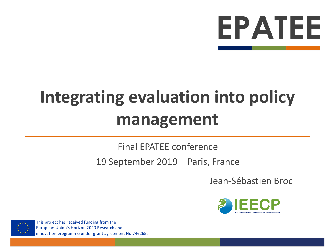

# **Integrating evaluation into policy management**

#### Final EPATEE conference

#### 19 September 2019 – Paris, France

Jean-Sébastien Broc



This project has received funding from the European Union's Horizon 2020 Research and innovation programme under grant agreement No 746265.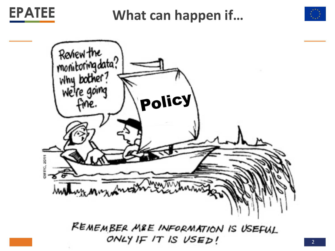

**What can happen if…**





REMEMBER MRE INFORMATION IS USEFUL ONLY IF IT IS USED!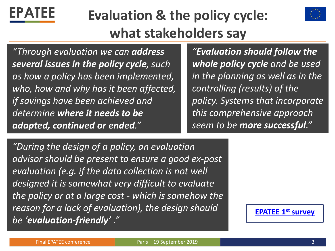

#### **Evaluation & the policy cycle: what stakeholders say**



*"Through evaluation we can address several issues in the policy cycle, such as how a policy has been implemented, who, how and why has it been affected, if savings have been achieved and determine where it needs to be adapted, continued or ended."*

*"Evaluation should follow the whole policy cycle and be used in the planning as well as in the controlling (results) of the policy. Systems that incorporate this comprehensive approach seem to be more successful."*

*"During the design of a policy, an evaluation advisor should be present to ensure a good ex-post evaluation (e.g. if the data collection is not well designed it is somewhat very difficult to evaluate the policy or at a large cost - which is somehow the reason for a lack of evaluation), the design should be 'evaluation-friendly' ."*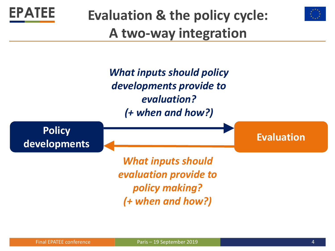



## **Evaluation & the policy cycle: A two-way integration**

*What inputs should policy developments provide to evaluation? (+ when and how?)*

**Policy**  developments **CONSISTENT AND REVALUATION** 

> *What inputs should evaluation provide to policy making? (+ when and how?)*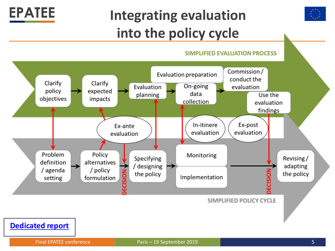## **Integrating evaluation into the policy cycle**



#### **SIMPLIFIED EVALUATION PROCESS**



**[Dedicated report](https://epatee.eu/system/tdf/epatee_integrating_evaluation_into_policy_cycle.pdf?file=1&type=node&id=54&force=1)**

**EPATEE**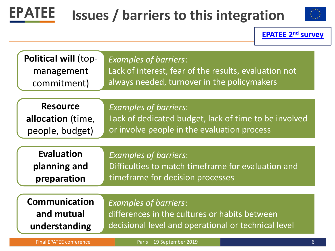

## **Issues / barriers to this integration**



**[EPATEE 2](https://epatee.eu/system/tdf/2018-06_epatee_second_survey_report_v1.6_0.pdf?file=1&type=node&id=54&force=1)nd survey**

| <b>Political will (top-</b>    | <b>Examples of barriers:</b>                          |
|--------------------------------|-------------------------------------------------------|
| management                     | Lack of interest, fear of the results, evaluation not |
| commitment)                    | always needed, turnover in the policymakers           |
| <b>Resource</b>                | <b>Examples of barriers:</b>                          |
| allocation (time,              | Lack of dedicated budget, lack of time to be involved |
| people, budget)                | or involve people in the evaluation process           |
| <b>Evaluation</b>              | <b>Examples of barriers:</b>                          |
| planning and                   | Difficulties to match timeframe for evaluation and    |
| preparation                    | timeframe for decision processes                      |
| <b>Communication</b>           | <b>Examples of barriers:</b>                          |
| and mutual                     | differences in the cultures or habits between         |
| understanding                  | decisional level and operational or technical level   |
| <b>Final EPATEE conference</b> | Paris - 19 September 2019<br>$6\phantom{1}$           |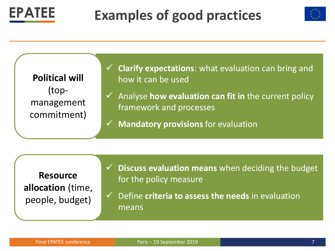

#### **Examples of good practices**





**Resource allocation** (time, people, budget)

- **Discuss evaluation means** when deciding the budget for the policy measure
- ✓ Define **criteria to assess the needs** in evaluation means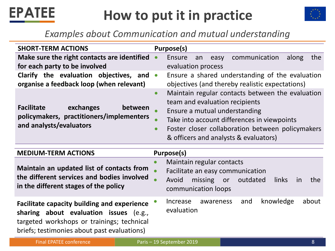

#### **How to put it in practice**



#### *Examples about Communication and mutual understanding*

| <b>SHORT-TERM ACTIONS</b>                                                                                                                                                                 | Purpose(s)                                                                                                                                                                                                                                                                                                          |
|-------------------------------------------------------------------------------------------------------------------------------------------------------------------------------------------|---------------------------------------------------------------------------------------------------------------------------------------------------------------------------------------------------------------------------------------------------------------------------------------------------------------------|
|                                                                                                                                                                                           |                                                                                                                                                                                                                                                                                                                     |
| Make sure the right contacts are identified<br>for each party to be involved                                                                                                              | communication<br>Ensure<br>the<br>along<br>easy<br>$\bullet$<br>an<br>evaluation process                                                                                                                                                                                                                            |
| Clarify the evaluation objectives, and<br>organise a feedback loop (when relevant)                                                                                                        | Ensure a shared understanding of the evaluation<br>$\bullet$<br>objectives (and thereby realistic expectations)                                                                                                                                                                                                     |
| <b>Facilitate</b><br>exchanges<br>between<br>policymakers, practitioners/implementers<br>and analysts/evaluators                                                                          | Maintain regular contacts between the evaluation<br>$\bullet$<br>team and evaluation recipients<br>Ensure a mutual understanding<br>$\bullet$<br>Take into account differences in viewpoints<br>$\bullet$<br>Foster closer collaboration between policymakers<br>$\bullet$<br>& officers and analysts & evaluators) |
| <b>MEDIUM-TERM ACTIONS</b>                                                                                                                                                                | Purpose(s)                                                                                                                                                                                                                                                                                                          |
| Maintain an updated list of contacts from<br>the different services and bodies involved<br>in the different stages of the policy                                                          | Maintain regular contacts<br>$\bullet$<br>Facilitate an easy communication<br>$\bullet$<br>Avoid<br>missing<br>outdated<br>or<br><b>links</b><br>the<br>in<br>communication loops                                                                                                                                   |
| <b>Facilitate capacity building and experience</b><br>sharing about evaluation issues (e.g.,<br>targeted workshops or trainings; technical<br>briefs; testimonies about past evaluations) | knowledge<br>about<br>Increase<br>and<br>awareness<br>evaluation                                                                                                                                                                                                                                                    |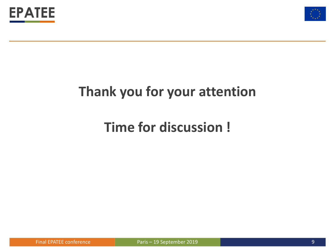



#### **Thank you for your attention**

#### **Time for discussion !**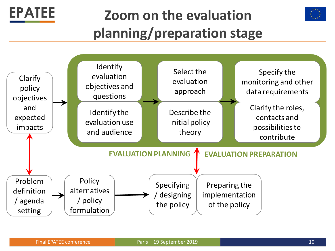



## **Zoom on the evaluation planning/preparation stage**